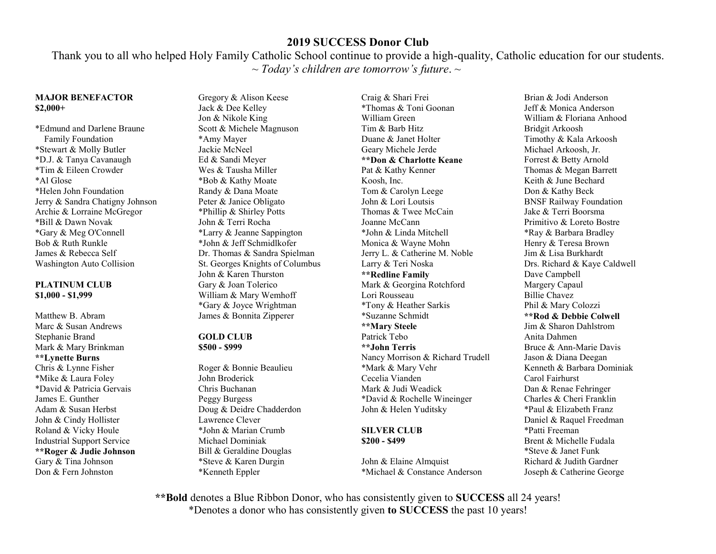Thank you to all who helped Holy Family Catholic School continue to provide a high-quality, Catholic education for our students. ~ *Today's children are tomorrow's future*. ~

### **MAJOR BENEFACTOR \$2,000+**

\*Edmund and Darlene Braune Family Foundation \*Stewart & Molly Butler \*D.J. & Tanya Cavanaugh \*Tim & Eileen Crowder \*Al Glose \*Helen John Foundation Jerry & Sandra Chatigny Johnson Archie & Lorraine McGregor \*Bill & Dawn Novak \*Gary & Meg O'Connell Bob & Ruth Runkle James & Rebecca Self Washington Auto Collision

### **PLATINUM CLUB \$1,000 - \$1,999**

Matthew B. Abram Marc & Susan Andrews Stephanie Brand Mark & Mary Brinkman **\*\*Lynette Burns**  Chris & Lynne Fisher \*Mike & Laura Foley \*David & Patricia Gervais James E. Gunther Adam & Susan Herbst John & Cindy Hollister Roland & Vicky Houle Industrial Support Service **\*\*Roger & Judie Johnson**  Gary & Tina Johnson Don & Fern Johnston

Gregory & Alison Keese Jack & Dee Kelley Jon & Nikole King Scott & Michele Magnuson \*Amy Mayer Jackie McNeel Ed & Sandi Meyer Wes & Tausha Miller \*Bob & Kathy Moate Randy & Dana Moate Peter & Janice Obligato \*Phillip & Shirley Potts John & Terri Rocha \*Larry & Jeanne Sappington \*John & Jeff Schmidlkofer Dr. Thomas & Sandra Spielman St. Georges Knights of Columbus John & Karen Thurston Gary & Joan Tolerico William & Mary Wemhoff \*Gary & Joyce Wrightman James & Bonnita Zipperer

### **GOLD CLUB \$500 - \$999**

Roger & Bonnie Beaulieu John Broderick Chris Buchanan Peggy Burgess Doug & Deidre Chadderdon Lawrence Clever \*John & Marian Crumb Michael Dominiak Bill & Geraldine Douglas \*Steve & Karen Durgin \*Kenneth Eppler

Craig & Shari Frei \*Thomas & Toni Goonan William Green Tim & Barb Hitz Duane & Janet Holter Geary Michele Jerde **\*\*Don & Charlotte Keane**  Pat & Kathy Kenner Koosh, Inc. Tom & Carolyn Leege John & Lori Loutsis Thomas & Twee McCain Joanne McCann \*John & Linda Mitchell Monica & Wayne Mohn Jerry L. & Catherine M. Noble Larry & Teri Noska **\*\*Redline Family**  Mark & Georgina Rotchford Lori Rousseau \*Tony & Heather Sarkis \*Suzanne Schmidt **\*\*Mary Steele**  Patrick Tebo **\*\*John Terris**  Nancy Morrison & Richard Trudell \*Mark & Mary Vehr Cecelia Vianden Mark & Judi Weadick \*David & Rochelle Wineinger John & Helen Yuditsky

#### **SILVER CLUB \$200 - \$499**

John & Elaine Almquist \*Michael & Constance Anderson

Brian & Jodi Anderson Jeff & Monica Anderson William & Floriana Anhood Bridgit Arkoosh Timothy & Kala Arkoosh Michael Arkoosh, Jr. Forrest & Betty Arnold Thomas & Megan Barrett Keith & June Bechard Don & Kathy Beck BNSF Railway Foundation Jake & Terri Boorsma Primitivo & Loreto Bostre \*Ray & Barbara Bradley Henry & Teresa Brown Jim & Lisa Burkhardt Drs. Richard & Kaye Caldwell Dave Campbell Margery Capaul Billie Chavez Phil & Mary Colozzi **\*\*Rod & Debbie Colwell**  Jim & Sharon Dahlstrom Anita Dahmen Bruce & Ann-Marie Davis Jason & Diana Deegan Kenneth & Barbara Dominiak Carol Fairhurst Dan & Renae Fehringer Charles & Cheri Franklin \*Paul & Elizabeth Franz Daniel & Raquel Freedman \*Patti Freeman Brent & Michelle Fudala \*Steve & Janet Funk Richard & Judith Gardner Joseph & Catherine George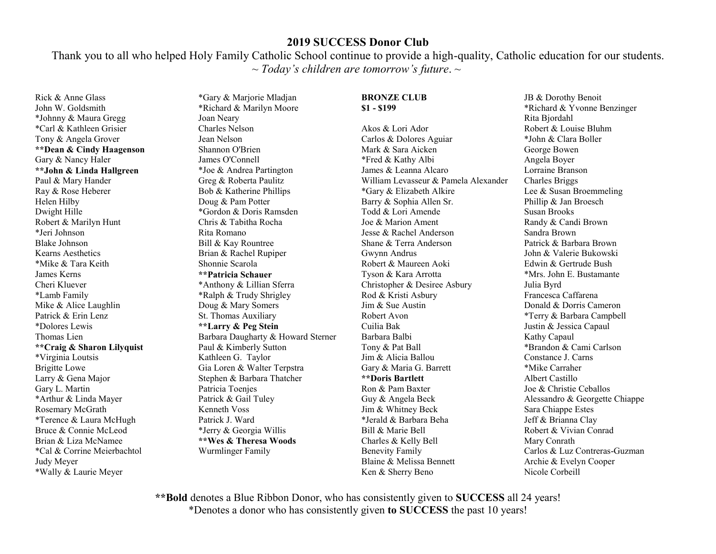Thank you to all who helped Holy Family Catholic School continue to provide a high-quality, Catholic education for our students. ~ *Today's children are tomorrow's future*. ~

Rick & Anne Glass John W. Goldsmith \*Johnny & Maura Gregg \*Carl & Kathleen Grisier Tony & Angela Grover **\*\*Dean & Cindy Haagenson**  Gary & Nancy Haler **\*\*John & Linda Hallgreen**  Paul & Mary Hander Ray & Rose Heberer Helen Hilby Dwight Hille Robert & Marilyn Hunt \*Jeri Johnson Blake Johnson Kearns Aesthetics \*Mike & Tara Keith James Kerns Cheri Kluever \*Lamb Family Mike & Alice Laughlin Patrick & Erin Lenz \*Dolores Lewis Thomas Lien **\*\*Craig & Sharon Lilyquist**  \*Virginia Loutsis Brigitte Lowe Larry & Gena Major Gary L. Martin \*Arthur & Linda Mayer Rosemary McGrath \*Terence & Laura McHugh Bruce & Connie McLeod Brian & Liza McNamee \*Cal & Corrine Meierbachtol Judy Meyer \*Wally & Laurie Meyer

\*Gary & Marjorie Mladjan \*Richard & Marilyn Moore Joan Neary Charles Nelson Jean Nelson Shannon O'Brien James O'Connell \*Joe & Andrea Partington Greg & Roberta Paulitz Bob & Katherine Phillips Doug & Pam Potter \*Gordon & Doris Ramsden Chris & Tabitha Rocha Rita Romano Bill & Kay Rountree Brian & Rachel Rupiper Shonnie Scarola **\*\*Patricia Schauer** \*Anthony & Lillian Sferra \*Ralph & Trudy Shrigley Doug & Mary Somers St. Thomas Auxiliary **\*\*Larry & Peg Stein**  Barbara Daugharty & Howard Sterner Paul & Kimberly Sutton Kathleen G. Taylor Gia Loren & Walter Terpstra Stephen & Barbara Thatcher Patricia Toenjes Patrick & Gail Tuley Kenneth Voss Patrick J. Ward \*Jerry & Georgia Willis **\*\*Wes & Theresa Woods**  Wurmlinger Family

#### **BRONZE CLUB \$1 - \$199**

Akos & Lori Ador Carlos & Dolores Aguiar Mark & Sara Aicken \*Fred & Kathy Albi James & Leanna Alcaro William Levasseur & Pamela Alexander \*Gary & Elizabeth Alkire Barry & Sophia Allen Sr. Todd & Lori Amende Joe & Marion Ament Jesse & Rachel Anderson Shane & Terra Anderson Gwynn Andrus Robert & Maureen Aoki Tyson & Kara Arrotta Christopher & Desiree Asbury Rod & Kristi Asbury Jim & Sue Austin Robert Avon Cuilia Bak Barbara Balbi Tony & Pat Ball Jim & Alicia Ballou Gary & Maria G. Barrett **\*\*Doris Bartlett**  Ron & Pam Baxter Guy & Angela Beck Jim & Whitney Beck \*Jerald & Barbara Beha Bill & Marie Bell Charles & Kelly Bell Benevity Family Blaine & Melissa Bennett Ken & Sherry Beno

JB & Dorothy Benoit \*Richard & Yvonne Benzinger Rita Bjordahl Robert & Louise Bluhm \*John & Clara Boller George Bowen Angela Boyer Lorraine Branson Charles Briggs Lee & Susan Broemmeling Phillip & Jan Broesch Susan Brooks Randy & Candi Brown Sandra Brown Patrick & Barbara Brown John & Valerie Bukowski Edwin & Gertrude Bush \*Mrs. John E. Bustamante Julia Byrd Francesca Caffarena Donald & Dorris Cameron \*Terry & Barbara Campbell Justin & Jessica Capaul Kathy Capaul \*Brandon & Cami Carlson Constance J. Carns \*Mike Carraher Albert Castillo Joe & Christie Ceballos Alessandro & Georgette Chiappe Sara Chiappe Estes Jeff & Brianna Clay Robert & Vivian Conrad Mary Conrath Carlos & Luz Contreras-Guzman Archie & Evelyn Cooper Nicole Corbeill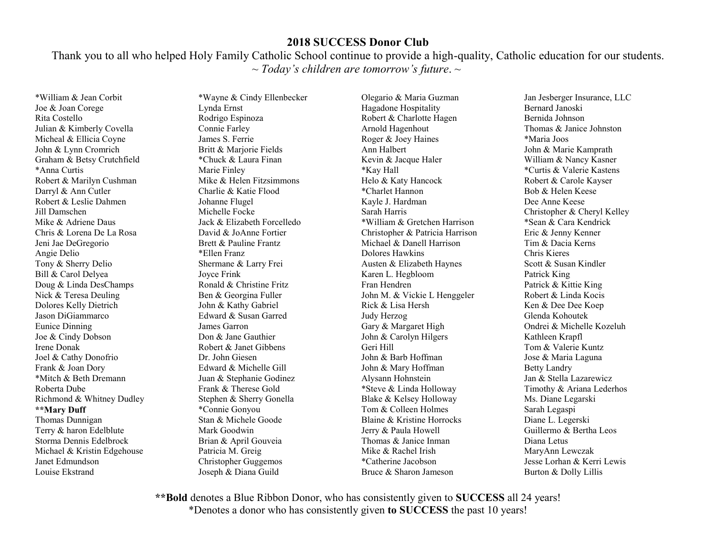Thank you to all who helped Holy Family Catholic School continue to provide a high-quality, Catholic education for our students. ~ *Today's children are tomorrow's future*. ~

\*William & Jean Corbit Joe & Joan Corege Rita Costello Julian & Kimberly Covella Micheal & Ellicia Coyne John & Lynn Cromrich Graham & Betsy Crutchfield \*Anna Curtis Robert & Marilyn Cushman Darryl & Ann Cutler Robert & Leslie Dahmen Jill Damschen Mike & Adriene Daus Chris & Lorena De La Rosa Jeni Jae DeGregorio Angie Delio Tony & Sherry Delio Bill & Carol Delyea Doug & Linda DesChamps Nick & Teresa Deuling Dolores Kelly Dietrich Jason DiGiammarco Eunice Dinning Joe & Cindy Dobson Irene Donak Joel & Cathy Donofrio Frank & Joan Dory \*Mitch & Beth Dremann Roberta Dube Richmond & Whitney Dudley **\*\*Mary Duff**  Thomas Dunnigan Terry & haron Edelblute Storma Dennis Edelbrock Michael & Kristin Edgehouse Janet Edmundson Louise Ekstrand

\*Wayne & Cindy Ellenbecker Lynda Ernst Rodrigo Espinoza Connie Farley James S. Ferrie Britt & Marjorie Fields \*Chuck & Laura Finan Marie Finley Mike & Helen Fitzsimmons Charlie & Katie Flood Johanne Flugel Michelle Focke Jack & Elizabeth Forcelledo David & JoAnne Fortier Brett & Pauline Frantz \*Ellen Franz Shermane & Larry Frei Joyce Frink Ronald & Christine Fritz Ben & Georgina Fuller John & Kathy Gabriel Edward & Susan Garred James Garron Don & Jane Gauthier Robert & Janet Gibbens Dr. John Giesen Edward & Michelle Gill Juan & Stephanie Godinez Frank & Therese Gold Stephen & Sherry Gonella \*Connie Gonyou Stan & Michele Goode Mark Goodwin Brian & April Gouveia Patricia M. Greig Christopher Guggemos Joseph & Diana Guild

Olegario & Maria Guzman Hagadone Hospitality Robert & Charlotte Hagen Arnold Hagenhout Roger & Joey Haines Ann Halbert Kevin & Jacque Haler \*Kay Hall Helo & Katy Hancock \*Charlet Hannon Kayle J. Hardman Sarah Harris \*William & Gretchen Harrison Christopher & Patricia Harrison Michael & Danell Harrison Dolores Hawkins Austen & Elizabeth Haynes Karen L. Hegbloom Fran Hendren John M. & Vickie L Henggeler Rick & Lisa Hersh Judy Herzog Gary & Margaret High John & Carolyn Hilgers Geri Hill John & Barb Hoffman John & Mary Hoffman Alysann Hohnstein \*Steve & Linda Holloway Blake & Kelsey Holloway Tom & Colleen Holmes Blaine & Kristine Horrocks Jerry & Paula Howell Thomas & Janice Inman Mike & Rachel Irish \*Catherine Jacobson Bruce & Sharon Jameson

Jan Jesberger Insurance, LLC Bernard Janoski Bernida Johnson Thomas & Janice Johnston \*Maria Joos John & Marie Kamprath William & Nancy Kasner \*Curtis & Valerie Kastens Robert & Carole Kayser Bob & Helen Keese Dee Anne Keese Christopher & Cheryl Kelley \*Sean & Cara Kendrick Eric & Jenny Kenner Tim & Dacia Kerns Chris Kieres Scott & Susan Kindler Patrick King Patrick & Kittie King Robert & Linda Kocis Ken & Dee Dee Koep Glenda Kohoutek Ondrei & Michelle Kozeluh Kathleen Krapfl Tom & Valerie Kuntz Jose & Maria Laguna Betty Landry Jan & Stella Lazarewicz Timothy & Ariana Lederhos Ms. Diane Legarski Sarah Legaspi Diane L. Legerski Guillermo & Bertha Leos Diana Letus MaryAnn Lewczak Jesse Lorhan & Kerri Lewis Burton & Dolly Lillis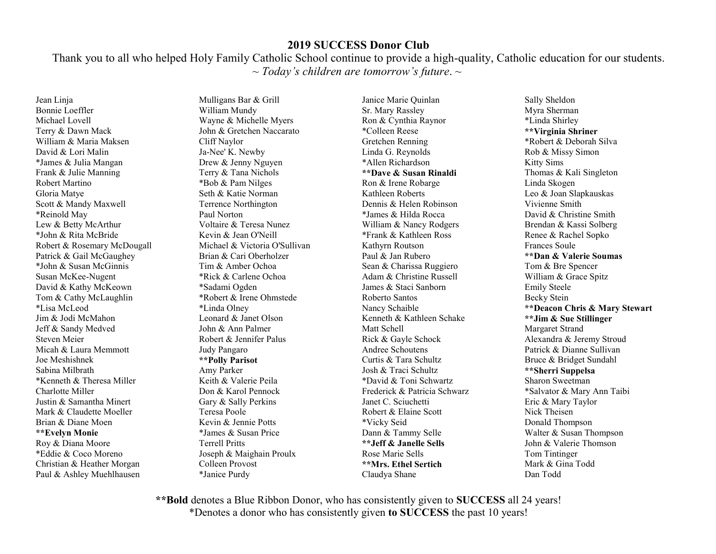Thank you to all who helped Holy Family Catholic School continue to provide a high-quality, Catholic education for our students. ~ *Today's children are tomorrow's future*. ~

Jean Linja Bonnie Loeffler Michael Lovell Terry & Dawn Mack William & Maria Maksen David & Lori Malin \*James & Julia Mangan Frank & Julie Manning Robert Martino Gloria Matye Scott & Mandy Maxwell \*Reinold May Lew & Betty McArthur \*John & Rita McBride Robert & Rosemary McDougall Patrick & Gail McGaughey \*John & Susan McGinnis Susan McKee-Nugent David & Kathy McKeown Tom & Cathy McLaughlin \*Lisa McLeod Jim & Jodi McMahon Jeff & Sandy Medved Steven Meier Micah & Laura Memmott Joe Meshishnek Sabina Milbrath \*Kenneth & Theresa Miller Charlotte Miller Justin & Samantha Minert Mark & Claudette Moeller Brian & Diane Moen **\*\*Evelyn Monie**  Roy & Diana Moore \*Eddie & Coco Moreno Christian & Heather Morgan Paul & Ashley Muehlhausen

Mulligans Bar & Grill William Mundy Wayne & Michelle Myers John & Gretchen Naccarato Cliff Naylor Ja-Nee' K. Newby Drew & Jenny Nguyen Terry & Tana Nichols \*Bob & Pam Nilges Seth & Katie Norman Terrence Northington Paul Norton Voltaire & Teresa Nunez Kevin & Jean O'Neill Michael & Victoria O'Sullivan Brian & Cari Oberholzer Tim & Amber Ochoa \*Rick & Carlene Ochoa \*Sadami Ogden \*Robert & Irene Ohmstede \*Linda Olney Leonard & Janet Olson John & Ann Palmer Robert & Jennifer Palus Judy Pangaro **\*\*Polly Parisot**  Amy Parker Keith & Valerie Peila Don & Karol Pennock Gary & Sally Perkins Teresa Poole Kevin & Jennie Potts \*James & Susan Price Terrell Pritts Joseph & Maighain Proulx Colleen Provost \*Janice Purdy

Janice Marie Quinlan Sr. Mary Rassley Ron & Cynthia Raynor \*Colleen Reese Gretchen Renning Linda G. Reynolds \*Allen Richardson **\*\*Dave & Susan Rinaldi**  Ron & Irene Robarge Kathleen Roberts Dennis & Helen Robinson \*James & Hilda Rocca William & Nancy Rodgers \*Frank & Kathleen Ross Kathyrn Routson Paul & Jan Rubero Sean & Charissa Ruggiero Adam & Christine Russell James & Staci Sanborn Roberto Santos Nancy Schaible Kenneth & Kathleen Schake Matt Schell Rick & Gayle Schock Andree Schoutens Curtis & Tara Schultz Josh & Traci Schultz \*David & Toni Schwartz Frederick & Patricia Schwarz Janet C. Sciuchetti Robert & Elaine Scott \*Vicky Seid Dann & Tammy Selle **\*\*Jeff & Janelle Sells**  Rose Marie Sells **\*\*Mrs. Ethel Sertich**  Claudya Shane

Sally Sheldon Myra Sherman \*Linda Shirley **\*\*Virginia Shriner**  \*Robert & Deborah Silva Rob & Missy Simon Kitty Sims Thomas & Kali Singleton Linda Skogen Leo & Joan Slapkauskas Vivienne Smith David & Christine Smith Brendan & Kassi Solberg Renee & Rachel Sopko Frances Soule **\*\*Dan & Valerie Soumas**  Tom & Bre Spencer William & Grace Spitz Emily Steele Becky Stein **\*\*Deacon Chris & Mary Stewart \*\*Jim & Sue Stillinger**  Margaret Strand Alexandra & Jeremy Stroud Patrick & Dianne Sullivan Bruce & Bridget Sundahl **\*\*Sherri Suppelsa**  Sharon Sweetman \*Salvator & Mary Ann Taibi Eric & Mary Taylor Nick Theisen Donald Thompson Walter & Susan Thompson John & Valerie Thomson Tom Tintinger Mark & Gina Todd Dan Todd